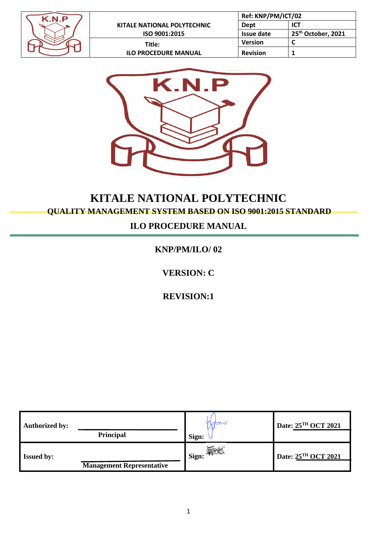

|                             | Ref: KNP/PM/ICT/02 |                                |
|-----------------------------|--------------------|--------------------------------|
| KITALE NATIONAL POLYTECHNIC | Dept               | <b>ICT</b>                     |
| ISO 9001:2015               | Issue date         | 25 <sup>th</sup> October, 2021 |
| Title:                      | <b>Version</b>     |                                |
| <b>ILO PROCEDURE MANUAL</b> | <b>Revision</b>    |                                |



# **KITALE NATIONAL POLYTECHNIC**

**QUALITY MANAGEMENT SYSTEM BASED ON ISO 9001:2015 STANDARD**

**ILO PROCEDURE MANUAL**

## **KNP/PM/ILO/ 02**

**VERSION: C**

**REVISION:1**

| <b>Authorized by:</b> | <b>Principal</b>                 | nen c<br>Sign: | Date: 25TH OCT 2021 |
|-----------------------|----------------------------------|----------------|---------------------|
| <b>Issued by:</b>     | <b>Management Representative</b> | Sign: 450      | Date: 25TH OCT 2021 |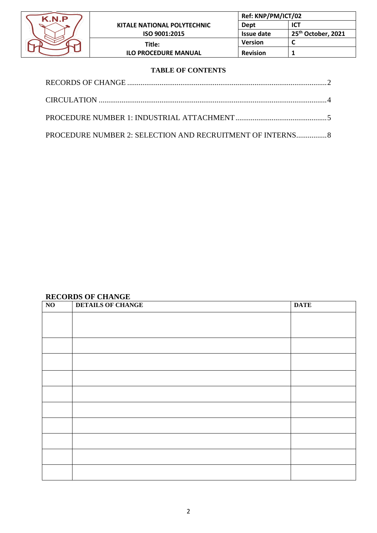

#### **TABLE OF CONTENTS**

| PROCEDURE NUMBER 2: SELECTION AND RECRUITMENT OF INTERNS 8 |  |
|------------------------------------------------------------|--|

## <span id="page-1-0"></span>**RECORDS OF CHANGE**

| $\overline{NO}$ | <b>DETAILS OF CHANGE</b> | <b>DATE</b> |
|-----------------|--------------------------|-------------|
|                 |                          |             |
|                 |                          |             |
|                 |                          |             |
|                 |                          |             |
|                 |                          |             |
|                 |                          |             |
|                 |                          |             |
|                 |                          |             |
|                 |                          |             |
|                 |                          |             |
|                 |                          |             |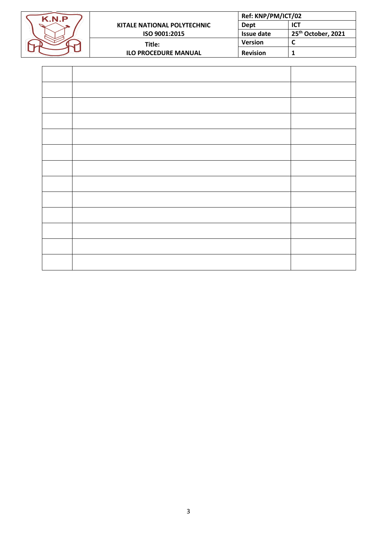| K.N.P |  |
|-------|--|
|       |  |
|       |  |
|       |  |
|       |  |
|       |  |
|       |  |
|       |  |
|       |  |
|       |  |

|                             | Ref: KNP/PM/ICT/02 |                                |
|-----------------------------|--------------------|--------------------------------|
| KITALE NATIONAL POLYTECHNIC | <b>Dept</b>        | ICT                            |
| ISO 9001:2015               | Issue date         | 25 <sup>th</sup> October, 2021 |
| Title:                      | <b>Version</b>     |                                |
| <b>ILO PROCEDURE MANUAL</b> | <b>Revision</b>    |                                |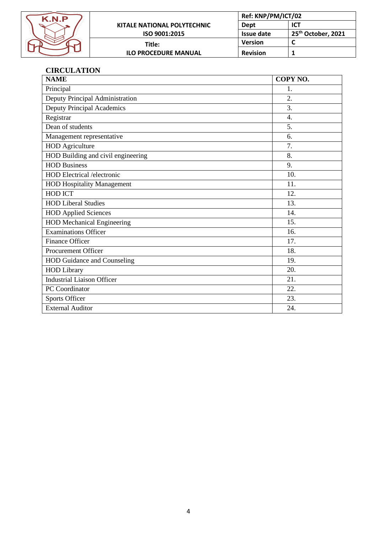

|                             | Ref: KNP/PM/ICT/02 |                                |
|-----------------------------|--------------------|--------------------------------|
| KITALE NATIONAL POLYTECHNIC | Dept               | ICT                            |
| ISO 9001:2015               | <b>Issue date</b>  | 25 <sup>th</sup> October, 2021 |
| Title:                      | <b>Version</b>     |                                |
| <b>ILO PROCEDURE MANUAL</b> | <b>Revision</b>    |                                |

## <span id="page-3-0"></span>**CIRCULATION**

| <b>NAME</b>                        | COPY NO.         |
|------------------------------------|------------------|
| Principal                          | 1.               |
| Deputy Principal Administration    | 2.               |
| Deputy Principal Academics         | 3.               |
| Registrar                          | $\overline{4}$ . |
| Dean of students                   | 5.               |
| Management representative          | 6.               |
| <b>HOD</b> Agriculture             | 7.               |
| HOD Building and civil engineering | 8.               |
| <b>HOD Business</b>                | 9.               |
| <b>HOD</b> Electrical /electronic  | 10.              |
| <b>HOD Hospitality Management</b>  | 11.              |
| HOD ICT                            | 12.              |
| <b>HOD Liberal Studies</b>         | 13.              |
| <b>HOD Applied Sciences</b>        | 14.              |
| <b>HOD Mechanical Engineering</b>  | 15.              |
| <b>Examinations Officer</b>        | 16.              |
| <b>Finance Officer</b>             | 17.              |
| Procurement Officer                | 18.              |
| HOD Guidance and Counseling        | 19.              |
| <b>HOD Library</b>                 | 20.              |
| <b>Industrial Liaison Officer</b>  | 21.              |
| PC Coordinator                     | 22.              |
| <b>Sports Officer</b>              | 23.              |
| <b>External Auditor</b>            | 24.              |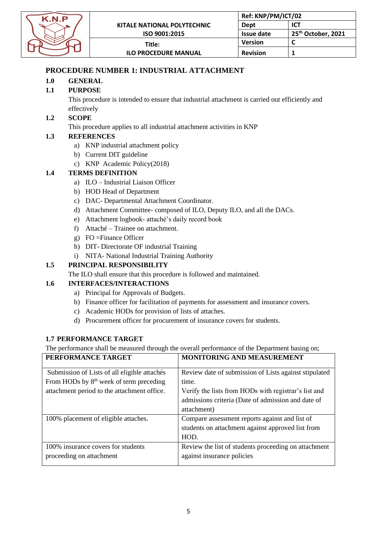

#### <span id="page-4-0"></span>**PROCEDURE NUMBER 1: INDUSTRIAL ATTACHMENT**

#### **1.0 GENERAL**

#### **1.1 PURPOSE**

This procedure is intended to ensure that industrial attachment is carried out efficiently and effectively

#### **1.2 SCOPE**

This procedure applies to all industrial attachment activities in KNP

#### **1.3 REFERENCES**

- a) KNP industrial attachment policy
- b) Current DIT guideline
- c) KNP Academic Policy(2018)

#### **1.4 TERMS DEFINITION**

- a) ILO Industrial Liaison Officer
- b) HOD Head of Department
- c) DAC- Departmental Attachment Coordinator.
- d) Attachment Committee- composed of ILO, Deputy ILO, and all the DACs.
- e) Attachment logbook- attaché's daily record book
- f) Attaché Trainee on attachment.
- g) FO =Finance Officer
- h) DIT- Directorate OF industrial Training
- i) NITA- National Industrial Training Authority

#### **1.5 PRINCIPAL RESPONSIBILITY**

The ILO shall ensure that this procedure is followed and maintained.

#### **1.6 INTERFACES/INTERACTIONS**

- a) Principal for Approvals of Budgets.
- b) Finance officer for facilitation of payments for assessment and insurance covers.
- c) Academic HODs for provision of lists of attaches.
- d) Procurement officer for procurement of insurance covers for students.

#### **1.7 PERFORMANCE TARGET**

The performance shall be measured through the overall performance of the Department basing on;

| PERFORMANCE TARGET                           | <b>MONITORING AND MEASUREMENT</b>                     |
|----------------------------------------------|-------------------------------------------------------|
| Submission of Lists of all eligible attachés | Review date of submission of Lists against stipulated |
| From HODs by $8th$ week of term preceding    | time.                                                 |
| attachment period to the attachment office.  | Verify the lists from HODs with registrar's list and  |
|                                              | admissions criteria (Date of admission and date of    |
|                                              | attachment)                                           |
| 100% placement of eligible attaches.         | Compare assessment reports against and list of        |
|                                              | students on attachment against approved list from     |
|                                              | HOD.                                                  |
| 100% insurance covers for students           | Review the list of students proceeding on attachment  |
| proceeding on attachment                     | against insurance policies                            |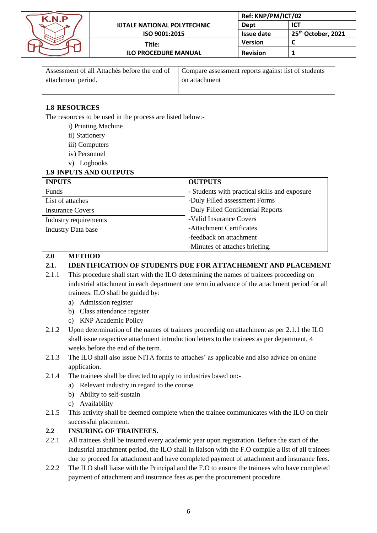

| Assessment of all Attachés before the end of | Compare assessment reports against list of students |
|----------------------------------------------|-----------------------------------------------------|
| attachment period.                           | on attachment                                       |
|                                              |                                                     |

#### **1.8 RESOURCES**

The resources to be used in the process are listed below:-

- i) Printing Machine
- ii) Stationery
- iii) Computers
- iv) Personnel
- v) Logbooks

## **1.9 INPUTS AND OUTPUTS**

| <b>INPUTS</b>             | <b>OUTPUTS</b>                                |
|---------------------------|-----------------------------------------------|
| Funds                     | - Students with practical skills and exposure |
| List of attaches          | -Duly Filled assessment Forms                 |
| <b>Insurance Covers</b>   | -Duly Filled Confidential Reports             |
| Industry requirements     | -Valid Insurance Covers                       |
| <b>Industry Data base</b> | -Attachment Certificates                      |
|                           | -feedback on attachment                       |
|                           | -Minutes of attaches briefing.                |

#### **2.0 METHOD**

#### **2.1. IDENTIFICATION OF STUDENTS DUE FOR ATTACHEMENT AND PLACEMENT**

- 2.1.1 This procedure shall start with the ILO determining the names of trainees proceeding on industrial attachment in each department one term in advance of the attachment period for all trainees. ILO shall be guided by:
	- a) Admission register
	- b) Class attendance register
	- c) KNP Academic Policy
- 2.1.2 Upon determination of the names of trainees proceeding on attachment as per 2.1.1 the ILO shall issue respective attachment introduction letters to the trainees as per department, 4 weeks before the end of the term.
- 2.1.3 The ILO shall also issue NITA forms to attaches' as applicable and also advice on online application.
- 2.1.4 The trainees shall be directed to apply to industries based on:
	- a) Relevant industry in regard to the course
	- b) Ability to self-sustain
	- c) Availability
- 2.1.5 This activity shall be deemed complete when the trainee communicates with the ILO on their successful placement.

#### **2.2 INSURING OF TRAINEEES.**

- 2.2.1 All trainees shall be insured every academic year upon registration. Before the start of the industrial attachment period, the ILO shall in liaison with the F.O compile a list of all trainees due to proceed for attachment and have completed payment of attachment and insurance fees.
- 2.2.2 The ILO shall liaise with the Principal and the F.O to ensure the trainees who have completed payment of attachment and insurance fees as per the procurement procedure.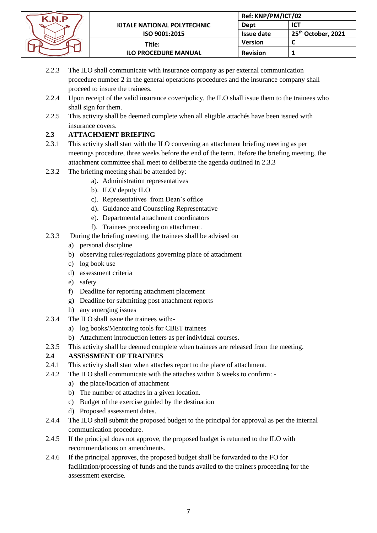

- 2.2.3 The ILO shall communicate with insurance company as per external communication procedure number 2 in the general operations procedures and the insurance company shall proceed to insure the trainees.
- 2.2.4 Upon receipt of the valid insurance cover/policy, the ILO shall issue them to the trainees who shall sign for them.
- 2.2.5 This activity shall be deemed complete when all eligible attachés have been issued with insurance covers.

## **2.3 ATTACHMENT BRIEFING**

- 2.3.1 This activity shall start with the ILO convening an attachment briefing meeting as per meetings procedure, three weeks before the end of the term. Before the briefing meeting, the attachment committee shall meet to deliberate the agenda outlined in 2.3.3
- 2.3.2 The briefing meeting shall be attended by:
	- a). Administration representatives
	- b). ILO/ deputy ILO
	- c). Representatives from Dean's office
	- d). Guidance and Counseling Representative
	- e). Departmental attachment coordinators
	- f). Trainees proceeding on attachment.
- 2.3.3 During the briefing meeting, the trainees shall be advised on
	- a) personal discipline
	- b) observing rules/regulations governing place of attachment
	- c) log book use
	- d) assessment criteria
	- e) safety
	- f) Deadline for reporting attachment placement
	- g) Deadline for submitting post attachment reports
	- h) any emerging issues
- 2.3.4 The ILO shall issue the trainees with:
	- a) log books/Mentoring tools for CBET trainees
	- b) Attachment introduction letters as per individual courses.
- 2.3.5 This activity shall be deemed complete when trainees are released from the meeting.

#### **2.4 ASSESSMENT OF TRAINEES**

- 2.4.1 This activity shall start when attaches report to the place of attachment.
- 2.4.2 The ILO shall communicate with the attaches within 6 weeks to confirm:
	- a) the place/location of attachment
	- b) The number of attaches in a given location.
	- c) Budget of the exercise guided by the destination
	- d) Proposed assessment dates.
- 2.4.4 The ILO shall submit the proposed budget to the principal for approval as per the internal communication procedure.
- 2.4.5 If the principal does not approve, the proposed budget is returned to the ILO with recommendations on amendments.
- 2.4.6 If the principal approves, the proposed budget shall be forwarded to the FO for facilitation/processing of funds and the funds availed to the trainers proceeding for the assessment exercise.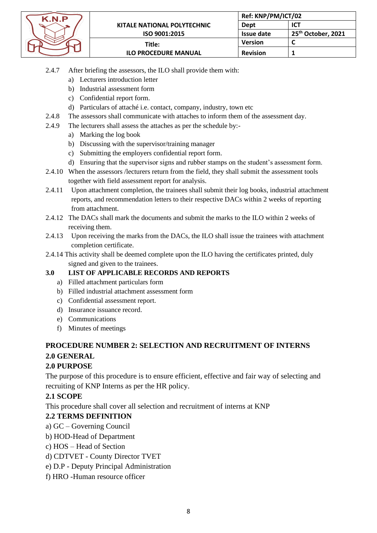

- 2.4.7 After briefing the assessors, the ILO shall provide them with:
	- a) Lecturers introduction letter
	- b) Industrial assessment form
	- c) Confidential report form.
	- d) Particulars of attaché i.e. contact, company, industry, town etc
- 2.4.8 The assessors shall communicate with attaches to inform them of the assessment day.
- 2.4.9 The lecturers shall assess the attaches as per the schedule by:
	- a) Marking the log book
	- b) Discussing with the supervisor/training manager
	- c) Submitting the employers confidential report form.
	- d) Ensuring that the supervisor signs and rubber stamps on the student's assessment form.
- 2.4.10 When the assessors /lecturers return from the field, they shall submit the assessment tools together with field assessment report for analysis.
- 2.4.11 Upon attachment completion, the trainees shall submit their log books, industrial attachment reports, and recommendation letters to their respective DACs within 2 weeks of reporting from attachment.
- 2.4.12 The DACs shall mark the documents and submit the marks to the ILO within 2 weeks of receiving them.
- 2.4.13 Upon receiving the marks from the DACs, the ILO shall issue the trainees with attachment completion certificate.
- 2.4.14 This activity shall be deemed complete upon the ILO having the certificates printed, duly signed and given to the trainees.

#### **3.0 LIST OF APPLICABLE RECORDS AND REPORTS**

- a) Filled attachment particulars form
- b) Filled industrial attachment assessment form
- c) Confidential assessment report.
- d) Insurance issuance record.
- e) Communications
- f) Minutes of meetings

## <span id="page-7-0"></span>**PROCEDURE NUMBER 2: SELECTION AND RECRUITMENT OF INTERNS 2.0 GENERAL**

#### **2.0 PURPOSE**

The purpose of this procedure is to ensure efficient, effective and fair way of selecting and recruiting of KNP Interns as per the HR policy.

#### **2.1 SCOPE**

This procedure shall cover all selection and recruitment of interns at KNP

#### **2.2 TERMS DEFINITION**

- a) GC Governing Council
- b) HOD-Head of Department
- c) HOS Head of Section
- d) CDTVET County Director TVET
- e) D.P Deputy Principal Administration
- f) HRO -Human resource officer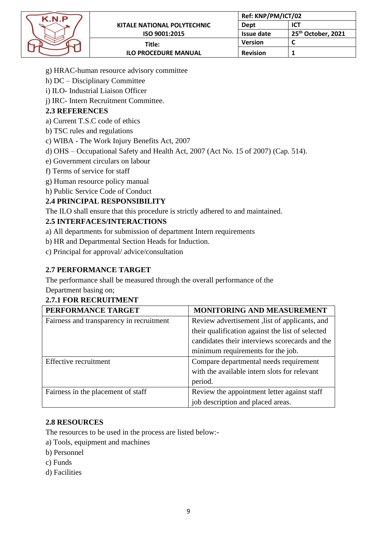

- g) HRAC-human resource advisory committee
- h) DC Disciplinary Committee
- i) ILO- Industrial Liaison Officer
- j) IRC- Intern Recruitment Committee.

## **2.3 REFERENCES**

- a) Current T.S.C code of ethics
- b) TSC rules and regulations
- c) WIBA The Work Injury Benefits Act, 2007
- d) OHS Occupational Safety and Health Act, 2007 (Act No. 15 of 2007) (Cap. 514).
- e) Government circulars on labour
- f) Terms of service for staff
- g) Human resource policy manual
- h) Public Service Code of Conduct

## **2.4 PRINCIPAL RESPONSIBILITY**

The ILO shall ensure that this procedure is strictly adhered to and maintained.

## **2.5 INTERFACES/INTERACTIONS**

- a) All departments for submission of department Intern requirements
- b) HR and Departmental Section Heads for Induction.
- c) Principal for approval/ advice/consultation

#### **2.7 PERFORMANCE TARGET**

The performance shall be measured through the overall performance of the Department basing on;

#### **2.7.1 FOR RECRUITMENT**

| PERFORMANCE TARGET                       | <b>MONITORING AND MEASUREMENT</b>                |  |  |
|------------------------------------------|--------------------------------------------------|--|--|
| Fairness and transparency in recruitment | Review advertisement, list of applicants, and    |  |  |
|                                          | their qualification against the list of selected |  |  |
|                                          | candidates their interviews scorecards and the   |  |  |
|                                          | minimum requirements for the job.                |  |  |
| Effective recruitment                    | Compare departmental needs requirement           |  |  |
|                                          | with the available intern slots for relevant     |  |  |
|                                          | period.                                          |  |  |
| Fairness in the placement of staff       | Review the appointment letter against staff      |  |  |
|                                          | job description and placed areas.                |  |  |

#### **2.8 RESOURCES**

The resources to be used in the process are listed below:-

- a) Tools, equipment and machines
- b) Personnel
- c) Funds
- d) Facilities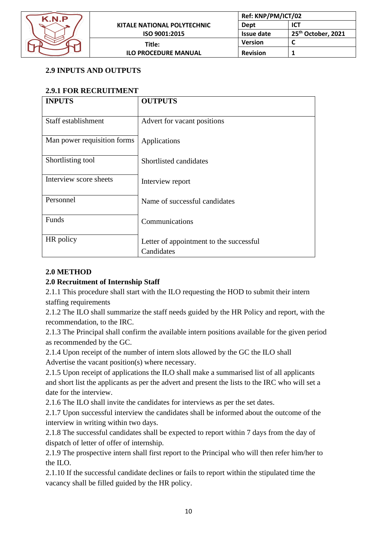

## **2.9 INPUTS AND OUTPUTS**

#### **2.9.1 FOR RECRUITMENT**

| <b>INPUTS</b>               | <b>OUTPUTS</b>                                        |  |
|-----------------------------|-------------------------------------------------------|--|
| Staff establishment         | Advert for vacant positions                           |  |
| Man power requisition forms | Applications                                          |  |
| Shortlisting tool           | Shortlisted candidates                                |  |
| Interview score sheets      | Interview report                                      |  |
| Personnel                   | Name of successful candidates                         |  |
| Funds                       | Communications                                        |  |
| HR policy                   | Letter of appointment to the successful<br>Candidates |  |

#### **2.0 METHOD**

## **2.0 Recruitment of Internship Staff**

2.1.1 This procedure shall start with the ILO requesting the HOD to submit their intern staffing requirements

2.1.2 The ILO shall summarize the staff needs guided by the HR Policy and report, with the recommendation, to the IRC.

2.1.3 The Principal shall confirm the available intern positions available for the given period as recommended by the GC.

2.1.4 Upon receipt of the number of intern slots allowed by the GC the ILO shall Advertise the vacant position(s) where necessary.

2.1.5 Upon receipt of applications the ILO shall make a summarised list of all applicants and short list the applicants as per the advert and present the lists to the IRC who will set a date for the interview.

2.1.6 The ILO shall invite the candidates for interviews as per the set dates.

2.1.7 Upon successful interview the candidates shall be informed about the outcome of the interview in writing within two days.

2.1.8 The successful candidates shall be expected to report within 7 days from the day of dispatch of letter of offer of internship.

2.1.9 The prospective intern shall first report to the Principal who will then refer him/her to the ILO.

2.1.10 If the successful candidate declines or fails to report within the stipulated time the vacancy shall be filled guided by the HR policy.